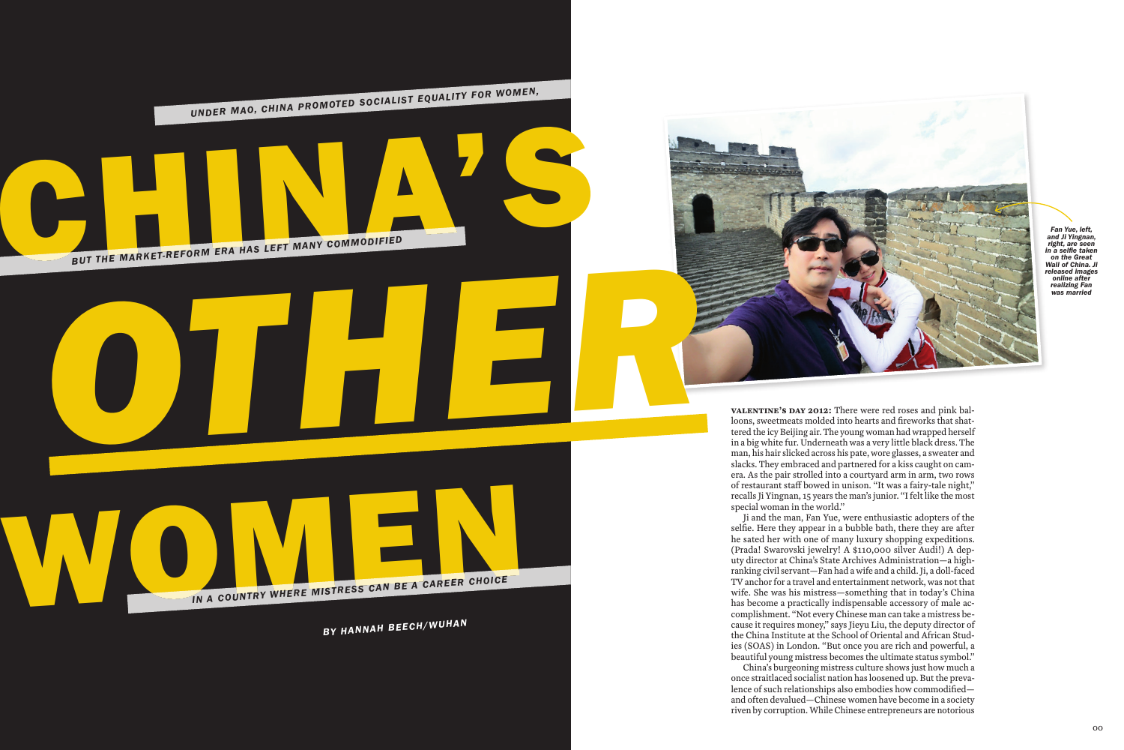*OTHER*

**CHINA'S AND REFORM ERA HAS LEFT MANY COMMODIFIED** *UNDER MAO, CHINA PROMOTED SOCIALIST EQUALITY FOR WOMEN,*

**IN A COUNTRY WHERE MISTRESS CAN BE A CAREER CHOICE** 

*BY HANNAH BEECH/WUHAN*

**Valentine's Day 2012:** There were red roses and pink balloons, sweetmeats molded into hearts and fireworks that shattered the icy Beijing air. The young woman had wrapped herself in a big white fur. Underneath was a very little black dress. The man, his hair slicked across his pate, wore glasses, a sweater and slacks. They embraced and partnered for a kiss caught on camera. As the pair strolled into a courtyard arm in arm, two rows of restaurant staff bowed in unison. "It was a fairy-tale night," recalls Ji Yingnan, 15 years the man's junior. "I felt like the most special woman in the world."

Ji and the man, Fan Yue, were enthusiastic adopters of the selfie. Here they appear in a bubble bath, there they are after he sated her with one of many luxury shopping expeditions. (Prada! Swarovski jewelry! A \$110,000 silver Audi!) A deputy director at China's State Archives Administration—a highranking civil servant—Fan had a wife and a child. Ji, a doll-faced TV anchor for a travel and entertainment network, was not that wife. She was his mistress—something that in today's China has become a practically indispensable accessory of male accomplishment. "Not every Chinese man can take a mistress because it requires money," says Jieyu Liu, the deputy director of the China Institute at the School of Oriental and African Studies (SOAS) in London. "But once you are rich and powerful, a beautiful young mistress becomes the ultimate status symbol." China's burgeoning mistress culture shows just how much a once straitlaced socialist nation has loosened up. But the prevalence of such relationships also embodies how commodified and often devalued—Chinese women have become in a society riven by corruption. While Chinese entrepreneurs are notorious